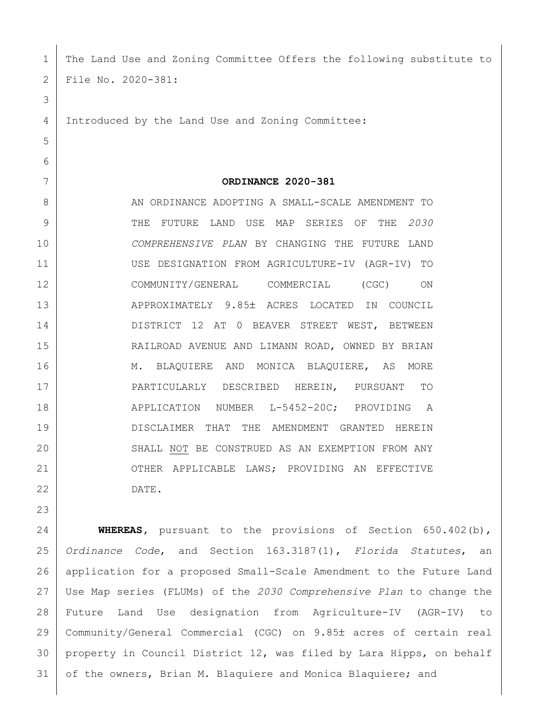The Land Use and Zoning Committee Offers the following substitute to File No. 2020-381: Introduced by the Land Use and Zoning Committee: **ORDINANCE 2020-381** 8 AN ORDINANCE ADOPTING A SMALL-SCALE AMENDMENT TO THE FUTURE LAND USE MAP SERIES OF THE *2030 COMPREHENSIVE PLAN* BY CHANGING THE FUTURE LAND USE DESIGNATION FROM AGRICULTURE-IV (AGR-IV) TO COMMUNITY/GENERAL COMMERCIAL (CGC) ON 13 APPROXIMATELY 9.85± ACRES LOCATED IN COUNCIL 14 DISTRICT 12 AT 0 BEAVER STREET WEST, BETWEEN RAILROAD AVENUE AND LIMANN ROAD, OWNED BY BRIAN 16 M. BLAOUIERE AND MONICA BLAOUIERE, AS MORE PARTICULARLY DESCRIBED HEREIN, PURSUANT TO 18 | APPLICATION NUMBER L-5452-20C; PROVIDING A DISCLAIMER THAT THE AMENDMENT GRANTED HEREIN 20 SHALL NOT BE CONSTRUED AS AN EXEMPTION FROM ANY 21 OTHER APPLICABLE LAWS; PROVIDING AN EFFECTIVE DATE. **WHEREAS,** pursuant to the provisions of Section 650.402(b), *Ordinance Code*, and Section 163.3187(1), *Florida Statutes*, an application for a proposed Small-Scale Amendment to the Future Land

 Use Map series (FLUMs) of the *2030 Comprehensive Plan* to change the Future Land Use designation from Agriculture-IV (AGR-IV) to 29 | Community/General Commercial (CGC) on 9.85± acres of certain real property in Council District 12, was filed by Lara Hipps, on behalf 31 of the owners, Brian M. Blaquiere and Monica Blaquiere; and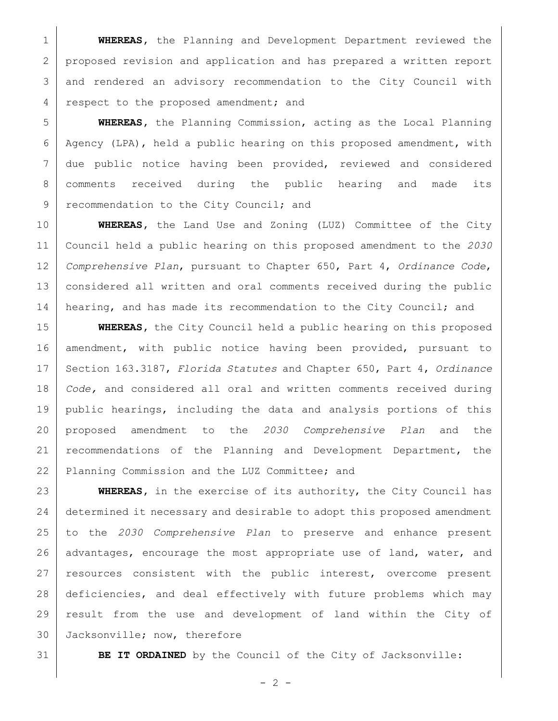**WHEREAS,** the Planning and Development Department reviewed the proposed revision and application and has prepared a written report and rendered an advisory recommendation to the City Council with 4 respect to the proposed amendment; and

 **WHEREAS,** the Planning Commission, acting as the Local Planning 6 Agency (LPA), held a public hearing on this proposed amendment, with due public notice having been provided, reviewed and considered comments received during the public hearing and made its 9 recommendation to the City Council; and

 **WHEREAS,** the Land Use and Zoning (LUZ) Committee of the City Council held a public hearing on this proposed amendment to the *2030 Comprehensive Plan*, pursuant to Chapter 650, Part 4, *Ordinance Code*, 13 | considered all written and oral comments received during the public 14 hearing, and has made its recommendation to the City Council; and

 **WHEREAS,** the City Council held a public hearing on this proposed amendment, with public notice having been provided, pursuant to Section 163.3187, *Florida Statutes* and Chapter 650, Part 4, *Ordinance Code,* and considered all oral and written comments received during public hearings, including the data and analysis portions of this proposed amendment to the *2030 Comprehensive Plan* and the 21 | recommendations of the Planning and Development Department, the 22 Planning Commission and the LUZ Committee; and

 **WHEREAS,** in the exercise of its authority, the City Council has 24 determined it necessary and desirable to adopt this proposed amendment to the *2030 Comprehensive Plan* to preserve and enhance present 26 advantages, encourage the most appropriate use of land, water, and resources consistent with the public interest, overcome present deficiencies, and deal effectively with future problems which may result from the use and development of land within the City of Jacksonville; now, therefore

**BE IT ORDAINED** by the Council of the City of Jacksonville:

 $- 2 -$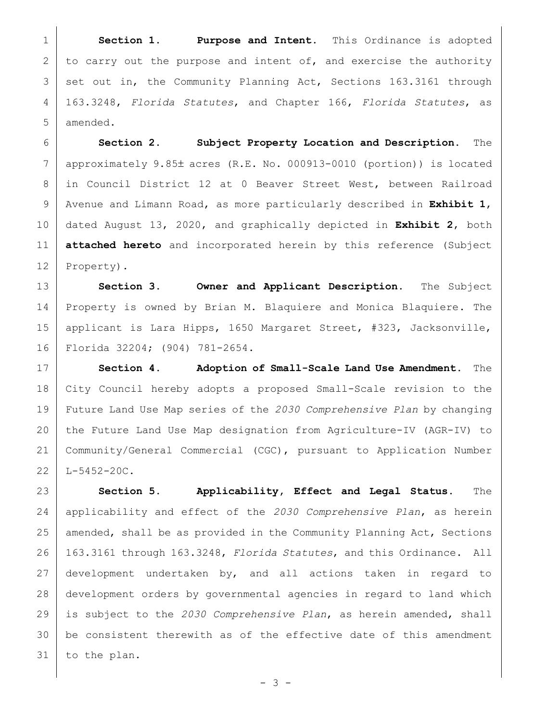**Section 1. Purpose and Intent.** This Ordinance is adopted 2 to carry out the purpose and intent of, and exercise the authority 3 set out in, the Community Planning Act, Sections 163.3161 through 163.3248, *Florida Statutes*, and Chapter 166, *Florida Statutes*, as amended.

 **Section 2. Subject Property Location and Description.** The approximately 9.85± acres (R.E. No. 000913-0010 (portion)) is located in Council District 12 at 0 Beaver Street West, between Railroad Avenue and Limann Road, as more particularly described in **Exhibit 1**, dated August 13, 2020, and graphically depicted in **Exhibit 2**, both **attached hereto** and incorporated herein by this reference (Subject 12 Property).

 **Section 3. Owner and Applicant Description.** The Subject 14 Property is owned by Brian M. Blaquiere and Monica Blaquiere. The applicant is Lara Hipps, 1650 Margaret Street, #323, Jacksonville, Florida 32204; (904) 781-2654.

 **Section 4. Adoption of Small-Scale Land Use Amendment.** The City Council hereby adopts a proposed Small-Scale revision to the Future Land Use Map series of the *2030 Comprehensive Plan* by changing the Future Land Use Map designation from Agriculture-IV (AGR-IV) to Community/General Commercial (CGC), pursuant to Application Number L-5452-20C.

 **Section 5. Applicability, Effect and Legal Status.** The applicability and effect of the *2030 Comprehensive Plan*, as herein 25 amended, shall be as provided in the Community Planning Act, Sections 163.3161 through 163.3248, *Florida Statutes*, and this Ordinance. All development undertaken by, and all actions taken in regard to development orders by governmental agencies in regard to land which is subject to the *2030 Comprehensive Plan*, as herein amended, shall 30 | be consistent therewith as of the effective date of this amendment to the plan.

 $- 3 -$